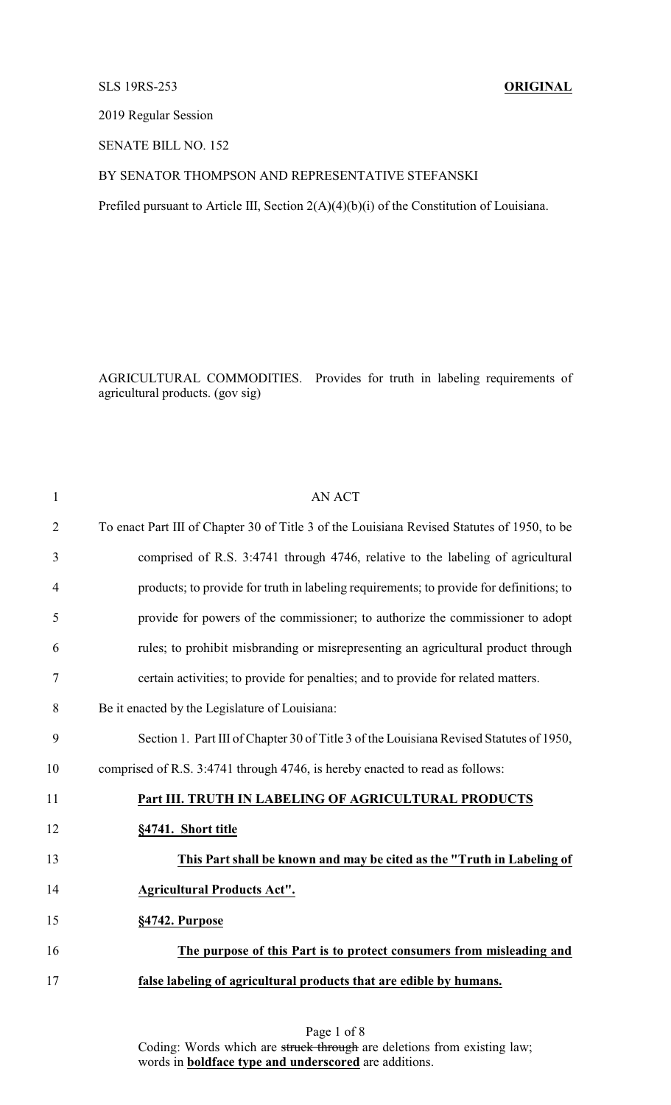# SLS 19RS-253 **ORIGINAL**

2019 Regular Session

SENATE BILL NO. 152

## BY SENATOR THOMPSON AND REPRESENTATIVE STEFANSKI

Prefiled pursuant to Article III, Section 2(A)(4)(b)(i) of the Constitution of Louisiana.

AGRICULTURAL COMMODITIES. Provides for truth in labeling requirements of agricultural products. (gov sig)

| $\mathbf{1}$   | <b>AN ACT</b>                                                                               |
|----------------|---------------------------------------------------------------------------------------------|
| $\overline{2}$ | To enact Part III of Chapter 30 of Title 3 of the Louisiana Revised Statutes of 1950, to be |
| 3              | comprised of R.S. 3:4741 through 4746, relative to the labeling of agricultural             |
| $\overline{4}$ | products; to provide for truth in labeling requirements; to provide for definitions; to     |
| 5              | provide for powers of the commissioner; to authorize the commissioner to adopt              |
| 6              | rules; to prohibit misbranding or misrepresenting an agricultural product through           |
| 7              | certain activities; to provide for penalties; and to provide for related matters.           |
| 8              | Be it enacted by the Legislature of Louisiana:                                              |
| 9              | Section 1. Part III of Chapter 30 of Title 3 of the Louisiana Revised Statutes of 1950,     |
| 10             | comprised of R.S. 3:4741 through 4746, is hereby enacted to read as follows:                |
| 11             | Part III. TRUTH IN LABELING OF AGRICULTURAL PRODUCTS                                        |
| 12             | §4741. Short title                                                                          |
| 13             | This Part shall be known and may be cited as the "Truth in Labeling of                      |
| 14             | <b>Agricultural Products Act".</b>                                                          |
| 15             | §4742. Purpose                                                                              |
| 16             | The purpose of this Part is to protect consumers from misleading and                        |
| 17             | false labeling of agricultural products that are edible by humans.                          |
|                |                                                                                             |

Page 1 of 8 Coding: Words which are struck through are deletions from existing law; words in **boldface type and underscored** are additions.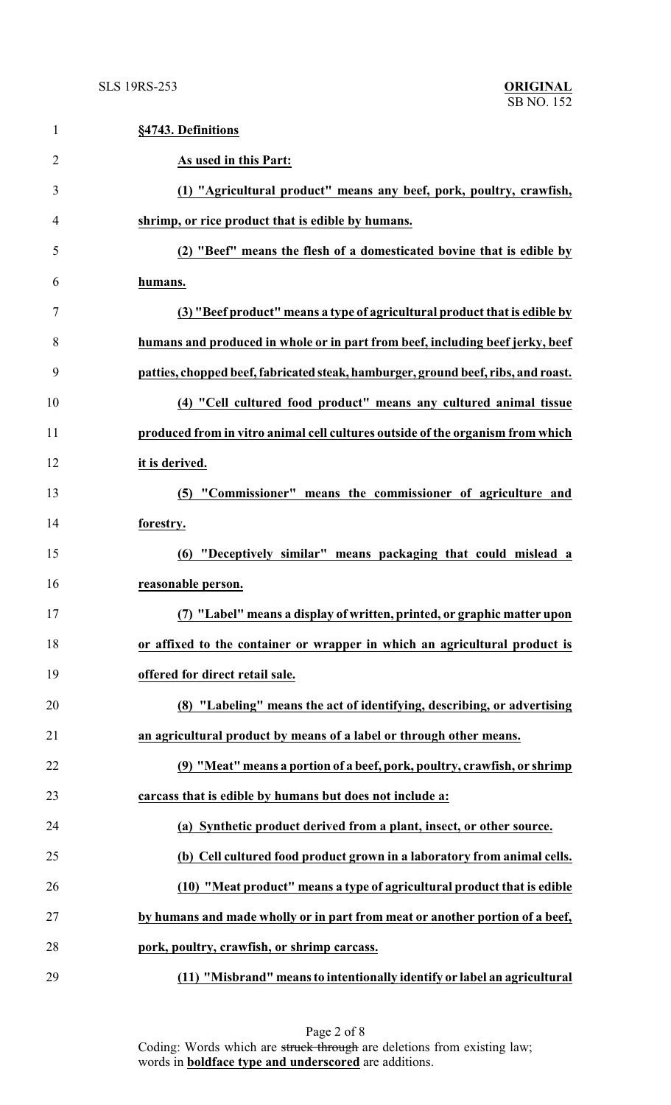| $\mathbf{1}$   | §4743. Definitions                                                                |
|----------------|-----------------------------------------------------------------------------------|
| $\overline{2}$ | As used in this Part:                                                             |
| 3              | (1) "Agricultural product" means any beef, pork, poultry, crawfish,               |
| $\overline{4}$ | shrimp, or rice product that is edible by humans.                                 |
| 5              | (2) "Beef" means the flesh of a domesticated bovine that is edible by             |
| 6              | humans.                                                                           |
| 7              | (3) "Beef product" means a type of agricultural product that is edible by         |
| 8              | humans and produced in whole or in part from beef, including beef jerky, beef     |
| 9              | patties, chopped beef, fabricated steak, hamburger, ground beef, ribs, and roast. |
| 10             | (4) "Cell cultured food product" means any cultured animal tissue                 |
| 11             | produced from in vitro animal cell cultures outside of the organism from which    |
| 12             | it is derived.                                                                    |
| 13             | (5) "Commissioner" means the commissioner of agriculture and                      |
| 14             | forestry.                                                                         |
| 15             | (6) "Deceptively similar" means packaging that could mislead a                    |
| 16             | reasonable person.                                                                |
| 17             | (7) "Label" means a display of written, printed, or graphic matter upon           |
| 18             | or affixed to the container or wrapper in which an agricultural product is        |
| 19             | offered for direct retail sale.                                                   |
| 20             | (8) "Labeling" means the act of identifying, describing, or advertising           |
| 21             | an agricultural product by means of a label or through other means.               |
| 22             | (9) "Meat" means a portion of a beef, pork, poultry, crawfish, or shrimp          |
| 23             | carcass that is edible by humans but does not include a:                          |
| 24             | (a) Synthetic product derived from a plant, insect, or other source.              |
| 25             | (b) Cell cultured food product grown in a laboratory from animal cells.           |
| 26             | (10) "Meat product" means a type of agricultural product that is edible           |
| 27             | by humans and made wholly or in part from meat or another portion of a beef,      |
| 28             | pork, poultry, crawfish, or shrimp carcass.                                       |
| 29             | (11) "Misbrand" means to intentionally identify or label an agricultural          |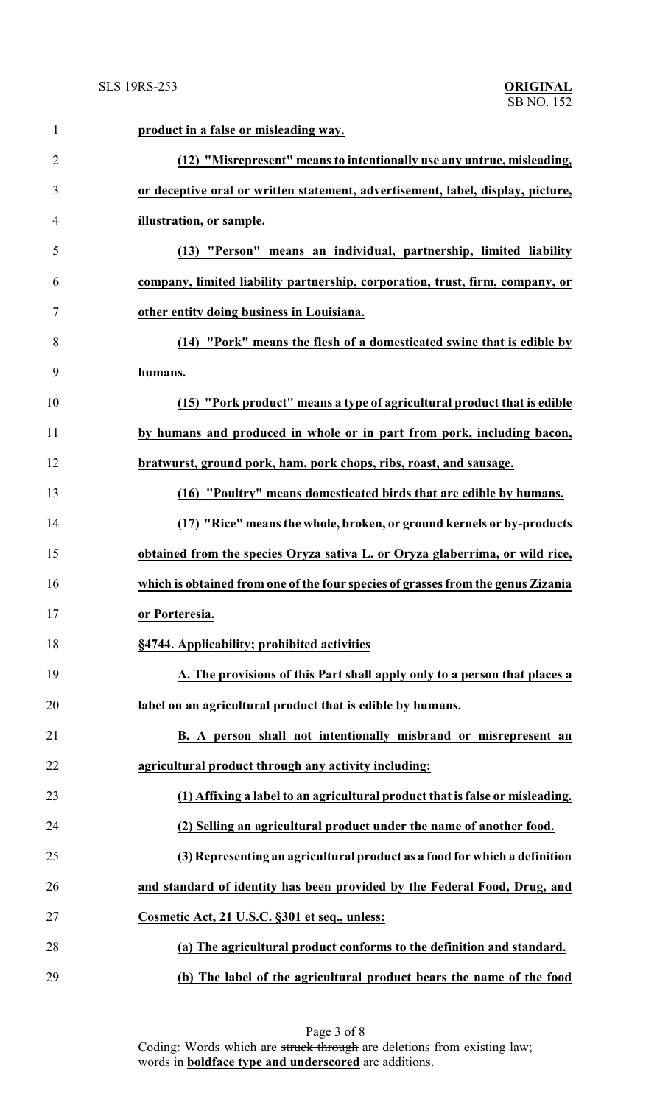| 1              | product in a false or misleading way.                                            |
|----------------|----------------------------------------------------------------------------------|
| $\overline{2}$ | (12) "Misrepresent" means to intentionally use any untrue, misleading,           |
| 3              | or deceptive oral or written statement, advertisement, label, display, picture,  |
| 4              | illustration, or sample.                                                         |
| 5              | (13) "Person" means an individual, partnership, limited liability                |
| 6              | company, limited liability partnership, corporation, trust, firm, company, or    |
| 7              | other entity doing business in Louisiana.                                        |
| 8              | (14) "Pork" means the flesh of a domesticated swine that is edible by            |
| 9              | humans.                                                                          |
| 10             | (15) "Pork product" means a type of agricultural product that is edible          |
| 11             | by humans and produced in whole or in part from pork, including bacon,           |
| 12             | bratwurst, ground pork, ham, pork chops, ribs, roast, and sausage.               |
| 13             | (16) "Poultry" means domesticated birds that are edible by humans.               |
| 14             | (17) "Rice" means the whole, broken, or ground kernels or by-products            |
| 15             | obtained from the species Oryza sativa L. or Oryza glaberrima, or wild rice,     |
| 16             | which is obtained from one of the four species of grasses from the genus Zizania |
| 17             | or Porteresia.                                                                   |
| 18             | §4744. Applicability; prohibited activities                                      |
| 19             | A. The provisions of this Part shall apply only to a person that places a        |
| 20             | label on an agricultural product that is edible by humans.                       |
| 21             | B. A person shall not intentionally misbrand or misrepresent an                  |
| 22             | agricultural product through any activity including:                             |
| 23             | (1) Affixing a label to an agricultural product that is false or misleading.     |
| 24             | (2) Selling an agricultural product under the name of another food.              |
| 25             | (3) Representing an agricultural product as a food for which a definition        |
| 26             | and standard of identity has been provided by the Federal Food, Drug, and        |
| 27             | Cosmetic Act, 21 U.S.C. §301 et seq., unless:                                    |
| 28             | (a) The agricultural product conforms to the definition and standard.            |
| 29             | (b) The label of the agricultural product bears the name of the food             |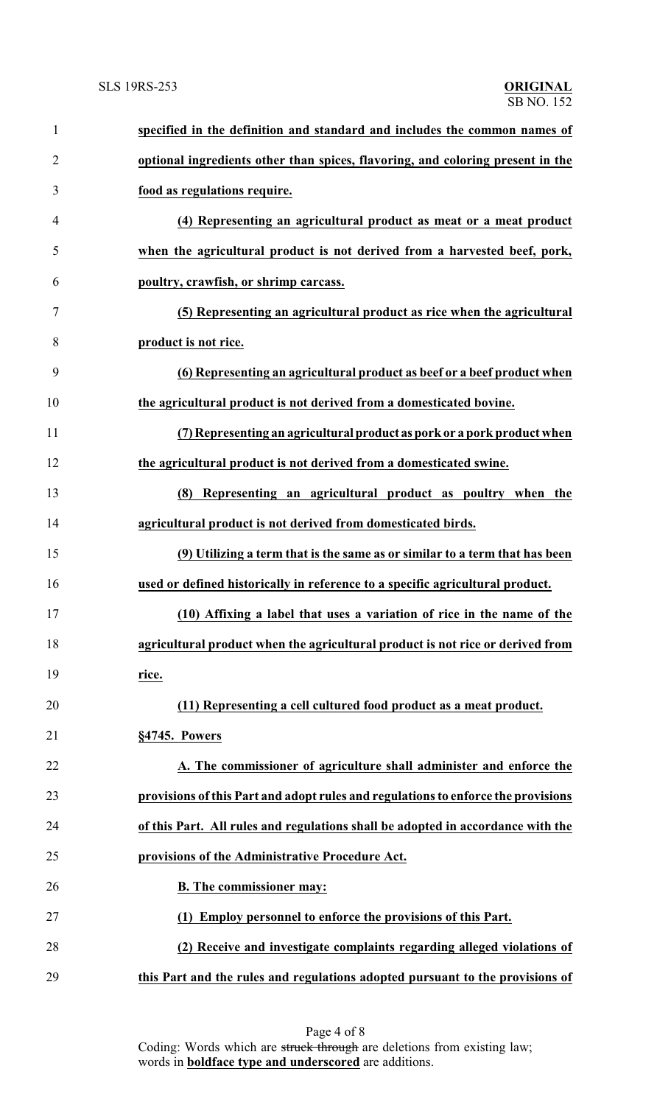| $\mathbf{1}$   | specified in the definition and standard and includes the common names of         |
|----------------|-----------------------------------------------------------------------------------|
| $\overline{2}$ | optional ingredients other than spices, flavoring, and coloring present in the    |
| 3              | food as regulations require.                                                      |
| 4              | (4) Representing an agricultural product as meat or a meat product                |
| 5              | when the agricultural product is not derived from a harvested beef, pork,         |
| 6              | poultry, crawfish, or shrimp carcass.                                             |
| 7              | (5) Representing an agricultural product as rice when the agricultural            |
| 8              | product is not rice.                                                              |
| 9              | (6) Representing an agricultural product as beef or a beef product when           |
| 10             | the agricultural product is not derived from a domesticated bovine.               |
| 11             | (7) Representing an agricultural product as pork or a pork product when           |
| 12             | the agricultural product is not derived from a domesticated swine.                |
| 13             | (8) Representing an agricultural product as poultry when the                      |
| 14             | agricultural product is not derived from domesticated birds.                      |
| 15             | (9) Utilizing a term that is the same as or similar to a term that has been       |
| 16             | used or defined historically in reference to a specific agricultural product.     |
| 17             | (10) Affixing a label that uses a variation of rice in the name of the            |
| 18             | agricultural product when the agricultural product is not rice or derived from    |
| 19             | rice.                                                                             |
| 20             | (11) Representing a cell cultured food product as a meat product.                 |
| 21             | §4745. Powers                                                                     |
| 22             | A. The commissioner of agriculture shall administer and enforce the               |
| 23             | provisions of this Part and adopt rules and regulations to enforce the provisions |
| 24             | of this Part. All rules and regulations shall be adopted in accordance with the   |
| 25             | provisions of the Administrative Procedure Act.                                   |
| 26             | <b>B.</b> The commissioner may:                                                   |
| 27             | (1) Employ personnel to enforce the provisions of this Part.                      |
| 28             | (2) Receive and investigate complaints regarding alleged violations of            |
| 29             | this Part and the rules and regulations adopted pursuant to the provisions of     |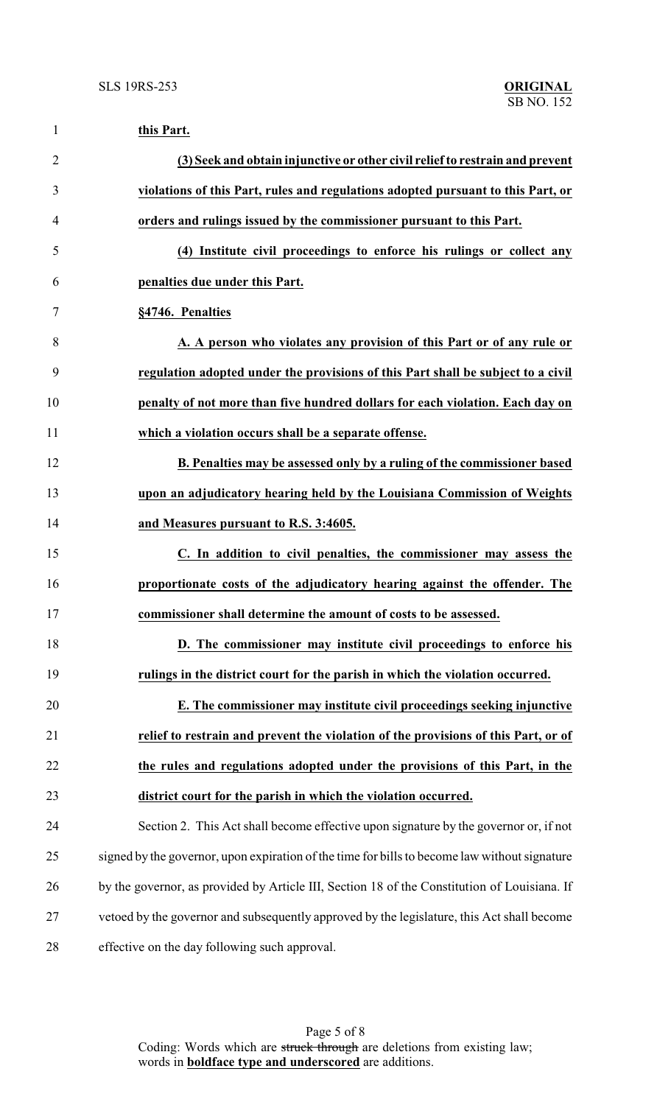| $\mathbf{1}$   | this Part.                                                                                    |
|----------------|-----------------------------------------------------------------------------------------------|
| $\overline{2}$ | (3) Seek and obtain injunctive or other civil relief to restrain and prevent                  |
| 3              | violations of this Part, rules and regulations adopted pursuant to this Part, or              |
| $\overline{4}$ | orders and rulings issued by the commissioner pursuant to this Part.                          |
| 5              | (4) Institute civil proceedings to enforce his rulings or collect any                         |
| 6              | penalties due under this Part.                                                                |
| $\tau$         | §4746. Penalties                                                                              |
| 8              | A. A person who violates any provision of this Part or of any rule or                         |
| 9              | regulation adopted under the provisions of this Part shall be subject to a civil              |
| 10             | penalty of not more than five hundred dollars for each violation. Each day on                 |
| 11             | which a violation occurs shall be a separate offense.                                         |
| 12             | B. Penalties may be assessed only by a ruling of the commissioner based                       |
| 13             | upon an adjudicatory hearing held by the Louisiana Commission of Weights                      |
| 14             | and Measures pursuant to R.S. 3:4605.                                                         |
| 15             | C. In addition to civil penalties, the commissioner may assess the                            |
| 16             | proportionate costs of the adjudicatory hearing against the offender. The                     |
| 17             | commissioner shall determine the amount of costs to be assessed.                              |
| 18             | D. The commissioner may institute civil proceedings to enforce his                            |
| 19             | rulings in the district court for the parish in which the violation occurred.                 |
| 20             | E. The commissioner may institute civil proceedings seeking injunctive                        |
| 21             | relief to restrain and prevent the violation of the provisions of this Part, or of            |
| 22             | the rules and regulations adopted under the provisions of this Part, in the                   |
| 23             | district court for the parish in which the violation occurred.                                |
| 24             | Section 2. This Act shall become effective upon signature by the governor or, if not          |
| 25             | signed by the governor, upon expiration of the time for bills to become law without signature |
| 26             | by the governor, as provided by Article III, Section 18 of the Constitution of Louisiana. If  |
| 27             | vetoed by the governor and subsequently approved by the legislature, this Act shall become    |
| 28             | effective on the day following such approval.                                                 |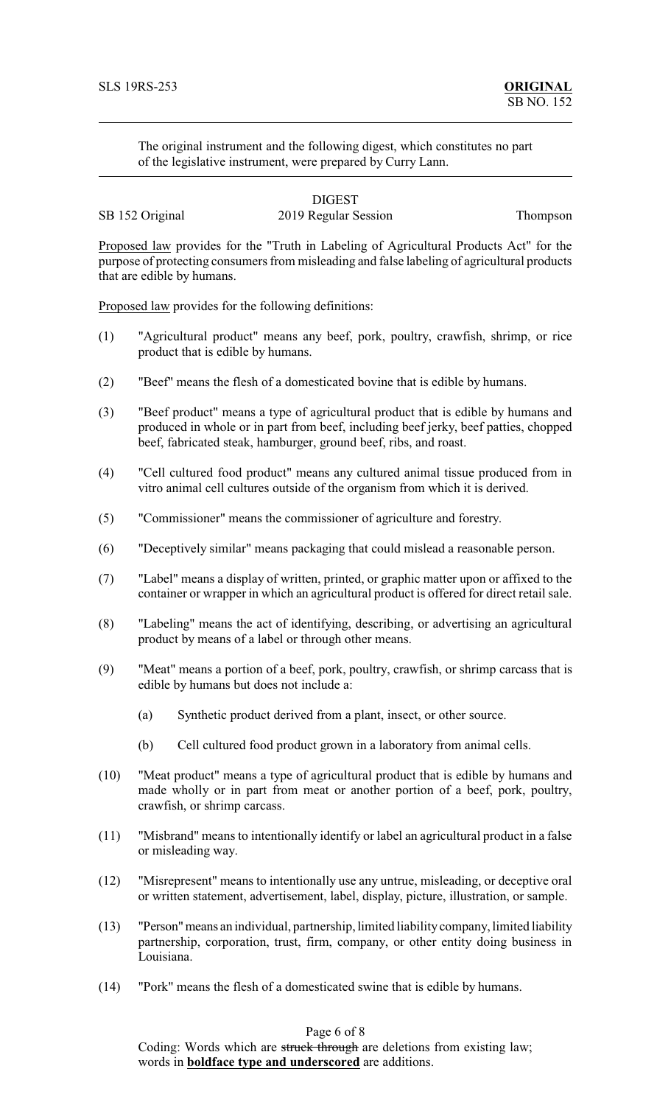The original instrument and the following digest, which constitutes no part of the legislative instrument, were prepared by Curry Lann.

### DIGEST SB 152 Original 2019 Regular Session Thompson

Proposed law provides for the "Truth in Labeling of Agricultural Products Act" for the purpose of protecting consumers from misleading and false labeling of agricultural products that are edible by humans.

Proposed law provides for the following definitions:

- (1) "Agricultural product" means any beef, pork, poultry, crawfish, shrimp, or rice product that is edible by humans.
- (2) "Beef" means the flesh of a domesticated bovine that is edible by humans.
- (3) "Beef product" means a type of agricultural product that is edible by humans and produced in whole or in part from beef, including beef jerky, beef patties, chopped beef, fabricated steak, hamburger, ground beef, ribs, and roast.
- (4) "Cell cultured food product" means any cultured animal tissue produced from in vitro animal cell cultures outside of the organism from which it is derived.
- (5) "Commissioner" means the commissioner of agriculture and forestry.
- (6) "Deceptively similar" means packaging that could mislead a reasonable person.
- (7) "Label" means a display of written, printed, or graphic matter upon or affixed to the container or wrapper in which an agricultural product is offered for direct retail sale.
- (8) "Labeling" means the act of identifying, describing, or advertising an agricultural product by means of a label or through other means.
- (9) "Meat" means a portion of a beef, pork, poultry, crawfish, or shrimp carcass that is edible by humans but does not include a:
	- (a) Synthetic product derived from a plant, insect, or other source.
	- (b) Cell cultured food product grown in a laboratory from animal cells.
- (10) "Meat product" means a type of agricultural product that is edible by humans and made wholly or in part from meat or another portion of a beef, pork, poultry, crawfish, or shrimp carcass.
- (11) "Misbrand" means to intentionally identify or label an agricultural product in a false or misleading way.
- (12) "Misrepresent" means to intentionally use any untrue, misleading, or deceptive oral or written statement, advertisement, label, display, picture, illustration, or sample.
- (13) "Person"means an individual, partnership, limited liability company, limited liability partnership, corporation, trust, firm, company, or other entity doing business in Louisiana.
- (14) "Pork" means the flesh of a domesticated swine that is edible by humans.

# Page 6 of 8

Coding: Words which are struck through are deletions from existing law; words in **boldface type and underscored** are additions.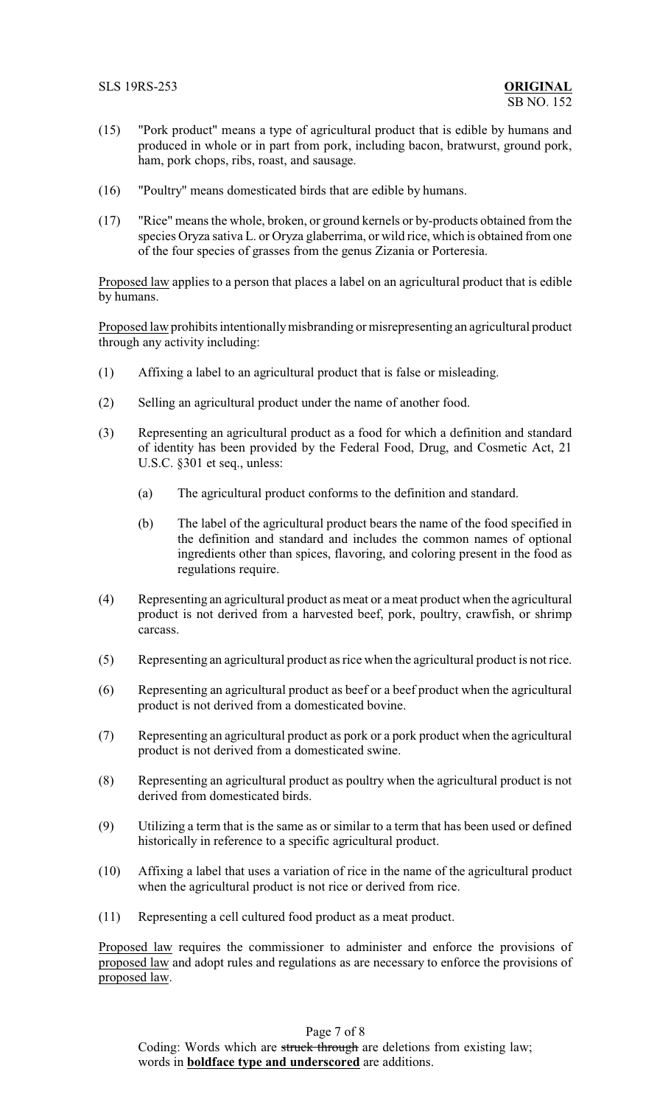- (15) "Pork product" means a type of agricultural product that is edible by humans and produced in whole or in part from pork, including bacon, bratwurst, ground pork, ham, pork chops, ribs, roast, and sausage.
- (16) "Poultry" means domesticated birds that are edible by humans.
- (17) "Rice" means the whole, broken, or ground kernels or by-products obtained from the species Oryza sativa L. or Oryza glaberrima, or wild rice, which is obtained from one of the four species of grasses from the genus Zizania or Porteresia.

Proposed law applies to a person that places a label on an agricultural product that is edible by humans.

Proposed law prohibits intentionally misbranding or misrepresenting an agricultural product through any activity including:

- (1) Affixing a label to an agricultural product that is false or misleading.
- (2) Selling an agricultural product under the name of another food.
- (3) Representing an agricultural product as a food for which a definition and standard of identity has been provided by the Federal Food, Drug, and Cosmetic Act, 21 U.S.C. §301 et seq., unless:
	- (a) The agricultural product conforms to the definition and standard.
	- (b) The label of the agricultural product bears the name of the food specified in the definition and standard and includes the common names of optional ingredients other than spices, flavoring, and coloring present in the food as regulations require.
- (4) Representing an agricultural product as meat or a meat product when the agricultural product is not derived from a harvested beef, pork, poultry, crawfish, or shrimp carcass.
- (5) Representing an agricultural product as rice when the agricultural product is not rice.
- (6) Representing an agricultural product as beef or a beef product when the agricultural product is not derived from a domesticated bovine.
- (7) Representing an agricultural product as pork or a pork product when the agricultural product is not derived from a domesticated swine.
- (8) Representing an agricultural product as poultry when the agricultural product is not derived from domesticated birds.
- (9) Utilizing a term that is the same as or similar to a term that has been used or defined historically in reference to a specific agricultural product.
- (10) Affixing a label that uses a variation of rice in the name of the agricultural product when the agricultural product is not rice or derived from rice.
- (11) Representing a cell cultured food product as a meat product.

Proposed law requires the commissioner to administer and enforce the provisions of proposed law and adopt rules and regulations as are necessary to enforce the provisions of proposed law.

Page 7 of 8 Coding: Words which are struck through are deletions from existing law; words in **boldface type and underscored** are additions.